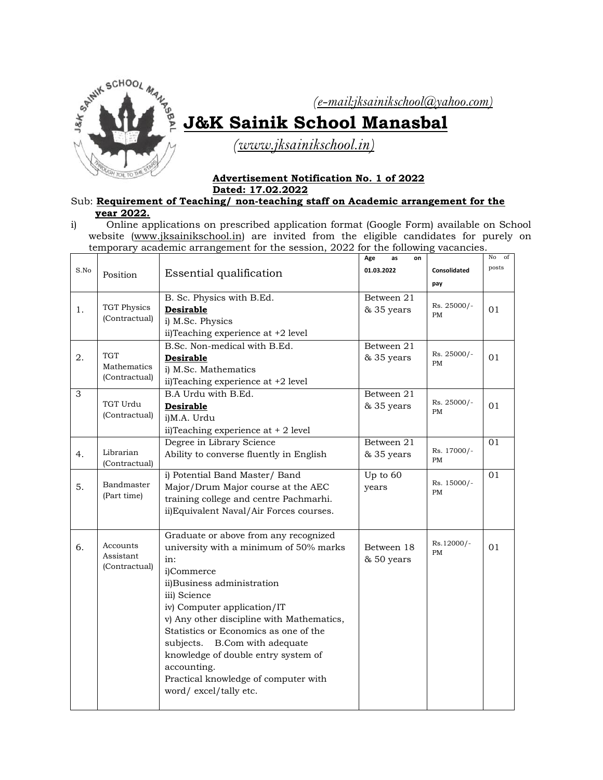

## **J&K Sainik School Manasbal**

 *[\(www.jksainiksc](http://www.jksainiks/)hool.in)*

## **Advertisement Notification No. 1 of 2022 Dated: 17.02.2022**

Sub: **Requirement of Teaching/ non-teaching staff on Academic arrangement for the year 2022.**

i) Online applications on prescribed application format (Google Form) available on School website [\(www.jksainikschool.in\)](http://www.jksainikschool.in/) are invited from the eligible candidates for purely on temporary academic arrangement for the session, 2022 for the following vacancies.

|                |                                            |                                                                                                                                                                                                                                                                                                                                                                                                                                    | Age<br>as<br>on          |                          | No<br>of |
|----------------|--------------------------------------------|------------------------------------------------------------------------------------------------------------------------------------------------------------------------------------------------------------------------------------------------------------------------------------------------------------------------------------------------------------------------------------------------------------------------------------|--------------------------|--------------------------|----------|
| S.No           | Position                                   | Essential qualification                                                                                                                                                                                                                                                                                                                                                                                                            | 01.03.2022               | Consolidated             | posts    |
|                |                                            |                                                                                                                                                                                                                                                                                                                                                                                                                                    |                          | pay                      |          |
| 1.             | <b>TGT Physics</b><br>(Contractual)        | B. Sc. Physics with B.Ed.<br><b>Desirable</b><br>i) M.Sc. Physics<br>ii)Teaching experience at +2 level                                                                                                                                                                                                                                                                                                                            | Between 21<br>& 35 years | Rs. 25000/-<br><b>PM</b> | 01       |
| 2.             | <b>TGT</b><br>Mathematics<br>(Contractual) | B.Sc. Non-medical with B.Ed.<br><b>Desirable</b><br>i) M.Sc. Mathematics<br>ii)Teaching experience at +2 level                                                                                                                                                                                                                                                                                                                     | Between 21<br>& 35 years | Rs. 25000/-<br><b>PM</b> | 01       |
| $\overline{3}$ | TGT Urdu<br>(Contractual)                  | B.A Urdu with B.Ed.<br><b>Desirable</b><br>i)M.A. Urdu<br>ii)Teaching experience at + 2 level                                                                                                                                                                                                                                                                                                                                      | Between 21<br>& 35 years | Rs. 25000/-<br><b>PM</b> | 01       |
| 4.             | Librarian<br>(Contractual)                 | Degree in Library Science<br>Ability to converse fluently in English                                                                                                                                                                                                                                                                                                                                                               | Between 21<br>& 35 years | Rs. 17000/-<br>PM        | 01       |
| 5.             | Bandmaster<br>(Part time)                  | i) Potential Band Master/ Band<br>Major/Drum Major course at the AEC<br>training college and centre Pachmarhi.<br>ii) Equivalent Naval/Air Forces courses.                                                                                                                                                                                                                                                                         | Up to $60$<br>years      | Rs. 15000/-<br><b>PM</b> | 01       |
| 6.             | Accounts<br>Assistant<br>(Contractual)     | Graduate or above from any recognized<br>university with a minimum of 50% marks<br>in:<br>i)Commerce<br>ii)Business administration<br>iii) Science<br>iv) Computer application/IT<br>v) Any other discipline with Mathematics,<br>Statistics or Economics as one of the<br>B.Com with adequate<br>subjects.<br>knowledge of double entry system of<br>accounting.<br>Practical knowledge of computer with<br>word/excel/tally etc. | Between 18<br>& 50 years | Rs.12000/-<br><b>PM</b>  | 01       |